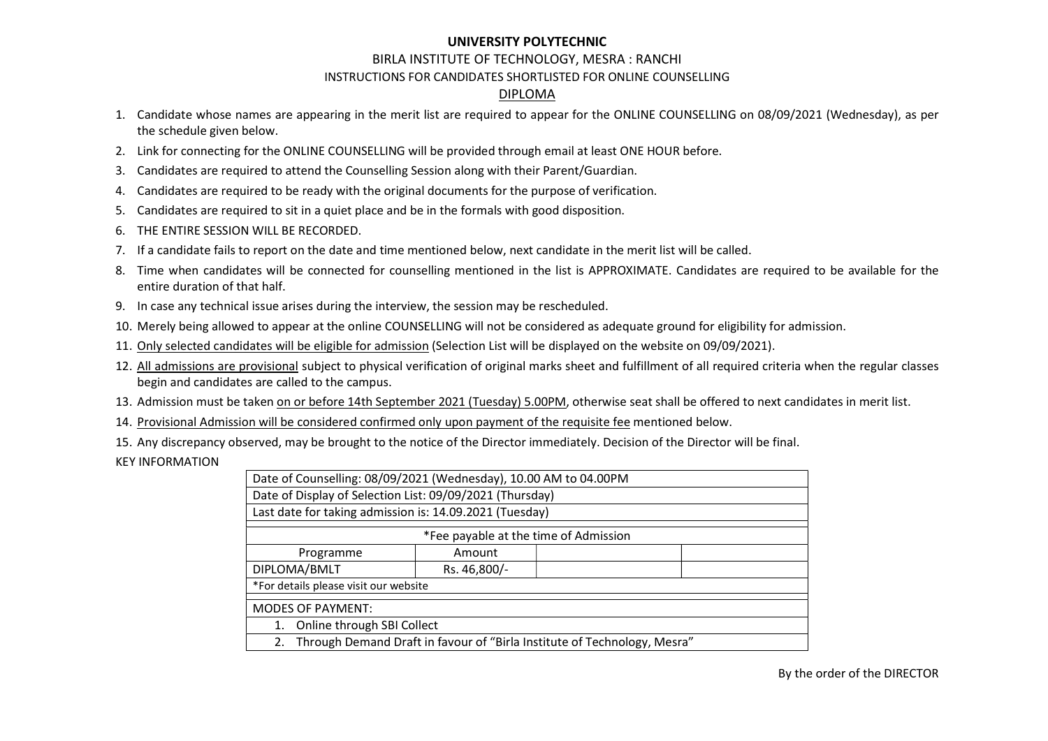#### UNIVERSITY POLYTECHNIC

#### BIRLA INSTITUTE OF TECHNOLOGY, MESRA : RANCHI

#### INSTRUCTIONS FOR CANDIDATES SHORTLISTED FOR ONLINE COUNSELLING

### DIPLOMA

- 1. Candidate whose names are appearing in the merit list are required to appear for the ONLINE COUNSELLING on 08/09/2021 (Wednesday), as per the schedule given below.
- 2. Link for connecting for the ONLINE COUNSELLING will be provided through email at least ONE HOUR before.
- 3. Candidates are required to attend the Counselling Session along with their Parent/Guardian.
- 4. Candidates are required to be ready with the original documents for the purpose of verification.
- 5. Candidates are required to sit in a quiet place and be in the formals with good disposition.
- 6. THE ENTIRE SESSION WILL BE RECORDED.
- 7. If a candidate fails to report on the date and time mentioned below, next candidate in the merit list will be called.
- 8. Time when candidates will be connected for counselling mentioned in the list is APPROXIMATE. Candidates are required to be available for the entire duration of that half.
- 9. In case any technical issue arises during the interview, the session may be rescheduled.
- 10. Merely being allowed to appear at the online COUNSELLING will not be considered as adequate ground for eligibility for admission.
- 11. Only selected candidates will be eligible for admission (Selection List will be displayed on the website on 09/09/2021).
- 12. All admissions are provisional subject to physical verification of original marks sheet and fulfillment of all required criteria when the regular classes begin and candidates are called to the campus.
- 13. Admission must be taken on or before 14th September 2021 (Tuesday) 5.00PM, otherwise seat shall be offered to next candidates in merit list.
- 14. Provisional Admission will be considered confirmed only upon payment of the requisite fee mentioned below.
- 15. Any discrepancy observed, may be brought to the notice of the Director immediately. Decision of the Director will be final.

KEY INFORMATION

| Date of Counselling: 08/09/2021 (Wednesday), 10.00 AM to 04.00PM         |              |  |  |  |  |  |  |  |  |
|--------------------------------------------------------------------------|--------------|--|--|--|--|--|--|--|--|
| Date of Display of Selection List: 09/09/2021 (Thursday)                 |              |  |  |  |  |  |  |  |  |
| Last date for taking admission is: 14.09.2021 (Tuesday)                  |              |  |  |  |  |  |  |  |  |
| *Fee payable at the time of Admission                                    |              |  |  |  |  |  |  |  |  |
| Programme                                                                | Amount       |  |  |  |  |  |  |  |  |
| DIPLOMA/BMLT                                                             | Rs. 46,800/- |  |  |  |  |  |  |  |  |
| *For details please visit our website                                    |              |  |  |  |  |  |  |  |  |
| <b>MODES OF PAYMENT:</b>                                                 |              |  |  |  |  |  |  |  |  |
| Online through SBI Collect                                               |              |  |  |  |  |  |  |  |  |
| Through Demand Draft in favour of "Birla Institute of Technology, Mesra" |              |  |  |  |  |  |  |  |  |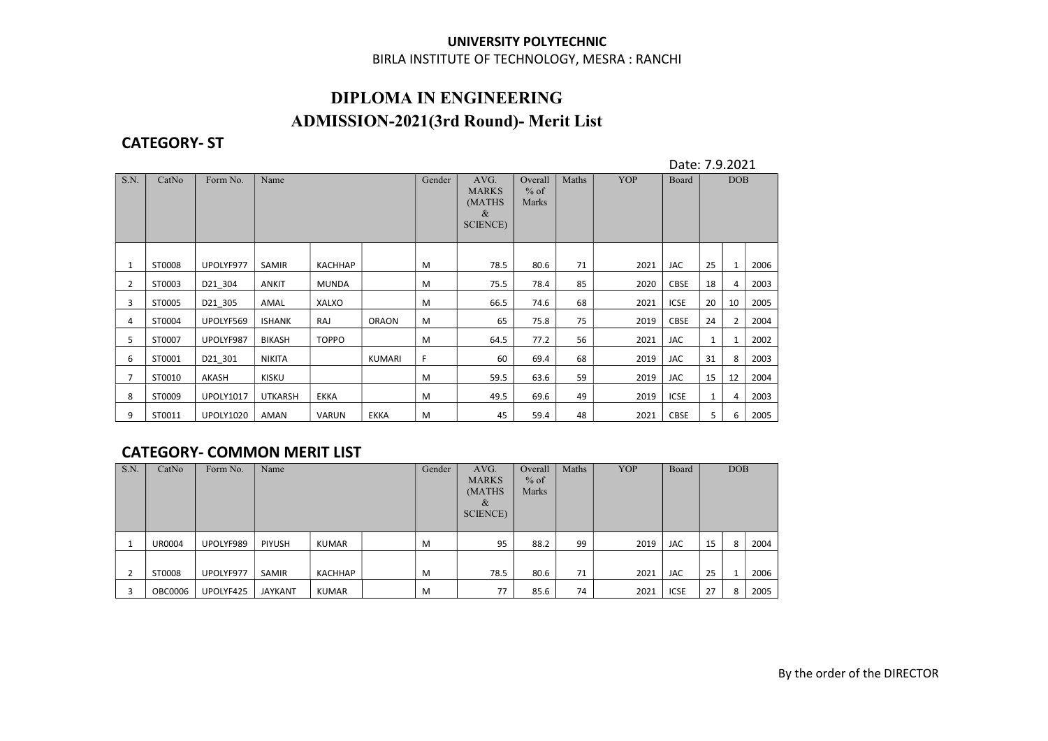## UNIVERSITY POLYTECHNIC BIRLA INSTITUTE OF TECHNOLOGY, MESRA : RANCHI

# DIPLOMA IN ENGINEERING ADMISSION-2021(3rd Round)- Merit List

## CATEGORY- ST

Date: 7.9.2021

| S.N. | CatNo  | Form No.         | Name           |              |               | Gender | AVG.<br><b>MARKS</b><br>(MATHS<br>&<br><b>SCIENCE</b> ) | Overall<br>$%$ of<br>Marks | Maths | YOP  | Board       | DOB |                |      |
|------|--------|------------------|----------------|--------------|---------------|--------|---------------------------------------------------------|----------------------------|-------|------|-------------|-----|----------------|------|
|      |        |                  |                |              |               |        |                                                         |                            |       |      |             |     |                |      |
| 1    | ST0008 | UPOLYF977        | SAMIR          | KACHHAP      |               | М      | 78.5                                                    | 80.6                       | 71    | 2021 | JAC         | 25  | 1              | 2006 |
| 2    | ST0003 | D21 304          | <b>ANKIT</b>   | <b>MUNDA</b> |               | M      | 75.5                                                    | 78.4                       | 85    | 2020 | CBSE        | 18  | 4              | 2003 |
| 3    | ST0005 | D21 305          | AMAL           | XALXO        |               | M      | 66.5                                                    | 74.6                       | 68    | 2021 | <b>ICSE</b> | 20  | 10             | 2005 |
| 4    | ST0004 | UPOLYF569        | <b>ISHANK</b>  | RAJ          | <b>ORAON</b>  | M      | 65                                                      | 75.8                       | 75    | 2019 | CBSE        | 24  | $\overline{2}$ | 2004 |
| 5    | ST0007 | UPOLYF987        | <b>BIKASH</b>  | <b>TOPPO</b> |               | M      | 64.5                                                    | 77.2                       | 56    | 2021 | JAC         | 1   | 1              | 2002 |
| 6    | ST0001 | D21 301          | NIKITA         |              | <b>KUMARI</b> | F.     | 60                                                      | 69.4                       | 68    | 2019 | JAC         | 31  | 8              | 2003 |
| 7    | ST0010 | AKASH            | <b>KISKU</b>   |              |               | M      | 59.5                                                    | 63.6                       | 59    | 2019 | JAC         | 15  | 12             | 2004 |
| 8    | ST0009 | <b>UPOLY1017</b> | <b>UTKARSH</b> | <b>EKKA</b>  |               | M      | 49.5                                                    | 69.6                       | 49    | 2019 | <b>ICSE</b> | 1   | 4              | 2003 |
| 9    | ST0011 | <b>UPOLY1020</b> | AMAN           | <b>VARUN</b> | <b>EKKA</b>   | M      | 45                                                      | 59.4                       | 48    | 2021 | CBSE        | 5   | 6              | 2005 |

## CATEGORY- COMMON MERIT LIST

| S.N. | CatNo         | Form No.  | Name           |              | Gender | AVG.<br><b>MARKS</b><br>(MATHS<br>&<br>SCIENCE) | Overall<br>$%$ of<br>Marks | Maths | YOP | Board | DOB         |    |   |      |
|------|---------------|-----------|----------------|--------------|--------|-------------------------------------------------|----------------------------|-------|-----|-------|-------------|----|---|------|
|      | <b>UR0004</b> | UPOLYF989 | <b>PIYUSH</b>  | <b>KUMAR</b> |        | M                                               | 95                         | 88.2  | 99  | 2019  | <b>JAC</b>  | 15 | 8 | 2004 |
|      | ST0008        | UPOLYF977 | SAMIR          | KACHHAP      |        | M                                               | 78.5                       | 80.6  | 71  | 2021  | <b>JAC</b>  | 25 |   | 2006 |
|      | OBC0006       | UPOLYF425 | <b>JAYKANT</b> | <b>KUMAR</b> |        | M                                               | 77                         | 85.6  | 74  | 2021  | <b>ICSE</b> | 27 | 8 | 2005 |